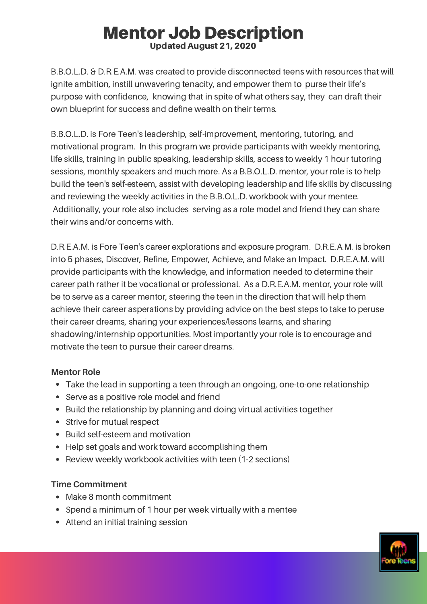# Mentor Job Description Updated August 21, 2020

B.B.O.L.D. & D.R.E.A.M. was created to provide disconnected teens with resources that will ignite ambition, instill unwavering tenacity, and empower them to purse their life's purpose with confidence, knowing that in spite of what others say, they can draft their own blueprint for success and define wealth on their terms.

B.B.O.L.D. is Fore Teen's leadership, self-improvement, mentoring, tutoring, and motivational program. In this program we provide participants with weekly mentoring, life skills, training in public speaking, leadership skills, access to weekly 1 hour tutoring sessions, monthly speakers and much more. As a B.B.O.L.D. mentor, your role is to help build the teen's self-esteem, assist with developing leadership and life skills by discussing and reviewing the weekly activities in the B.B.O.L.D. workbook with your mentee. Additionally, your role also includes serving as a role model and friend they can share their wins and/or concerns with.

D.R.E.A.M. is Fore Teen's career explorations and exposure program. D.R.E.A.M. is broken into 5 phases, Discover, Refine, Empower, Achieve, and Make an Impact. D.R.E.A.M. will provide participants with the knowledge, and information needed to determine their career path rather it be vocational or professional. As a D.R.E.A.M. mentor, your role will be to serve as a career mentor, steering the teen in the direction that will help them achieve their career asperations by providing advice on the best steps to take to peruse their career dreams, sharing your experiences/lessons learns, and sharing shadowing/internship opportunities. Most importantly your role is to encourage and motivate the teen to pursue their career dreams.

## **Mentor Role**

- Take the lead in supporting a teen through an ongoing, one-to-one relationship
- Serve as a positive role model and friend
- Build the relationship by planning and doing virtual activities together
- Strive for mutual respect
- Build self-esteem and motivation
- Help set goals and work toward accomplishing them
- Review weekly workbook activities with teen (1-2 sections)

#### **Time Commitment**

- Make 8 month commitment
- Spend a minimum of 1 hour per week virtually with a mentee
- Attend an initial training session